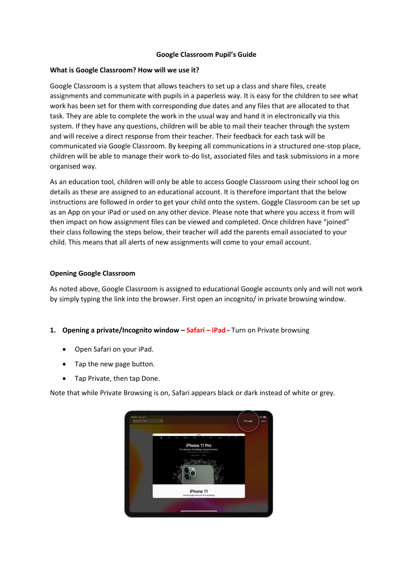## **Google Classroom Pupil's Guide**

### **What is Google Classroom? How will we use it?**

Google Classroom is a system that allows teachers to set up a class and share files, create assignments and communicate with pupils in a paperless way. It is easy for the children to see what work has been set for them with corresponding due dates and any files that are allocated to that task. They are able to complete the work in the usual way and hand it in electronically via this system. If they have any questions, children will be able to mail their teacher through the system and will receive a direct response from their teacher. Their feedback for each task will be communicated via Google Classroom. By keeping all communications in a structured one-stop place, children will be able to manage their work to-do list, associated files and task submissions in a more organised way.

As an education tool, children will only be able to access Google Classroom using their school log on details as these are assigned to an educational account. It is therefore important that the below instructions are followed in order to get your child onto the system. Goggle Classroom can be set up as an App on your iPad or used on any other device. Please note that where you access it from will then impact on how assignment files can be viewed and completed. Once children have "joined" their class following the steps below, their teacher will add the parents email associated to your child. This means that all alerts of new assignments will come to your email account.

# **Opening Google Classroom**

As noted above, Google Classroom is assigned to educational Google accounts only and will not work by simply typing the link into the browser. First open an incognito/ in private browsing window.

# **1. Opening a private/Incognito window – Safari – iPad -** Turn on Private browsing

- Open Safari on your iPad.
- Tap the new page button.
- Tap Private, then tap Done.

Note that while Private Browsing is on, Safari appears black or dark instead of white or grey.

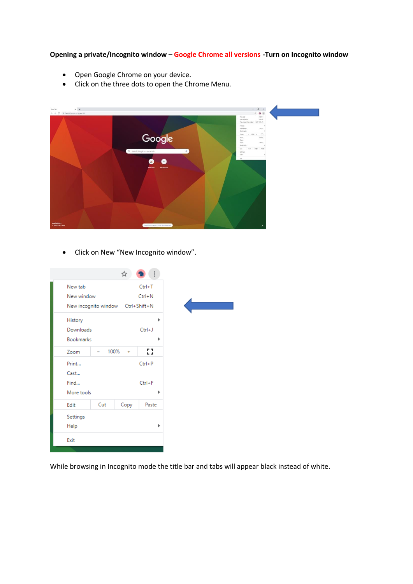**Opening a private/Incognito window – Google Chrome all versions -Turn on Incognito window**

- Open Google Chrome on your device.
- Click on the three dots to open the Chrome Menu.



• Click on New "New Incognito window".

|                  |                                   | ☆    |            |   |
|------------------|-----------------------------------|------|------------|---|
| New tab          |                                   |      | $Ctrl+T$   |   |
| New window       |                                   |      | $Ctrl + N$ |   |
|                  | New incognito window Ctrl+Shift+N |      |            |   |
| History          |                                   |      |            | Þ |
| Downloads        |                                   |      | $Ctrl + J$ |   |
| <b>Bookmarks</b> |                                   |      |            | Þ |
| Zoom             | 100%                              | ÷    | 53         |   |
| Print            |                                   |      | $Ctrl + P$ |   |
| Cast             |                                   |      |            |   |
| Find             |                                   |      | $Ctrl + F$ |   |
| More tools       |                                   |      |            | Þ |
| Edit             | Cut                               | Copy | Paste      |   |
| Settings         |                                   |      |            |   |
| Help             |                                   |      |            | Þ |
| Exit             |                                   |      |            |   |
|                  |                                   |      |            |   |

While browsing in Incognito mode the title bar and tabs will appear black instead of white.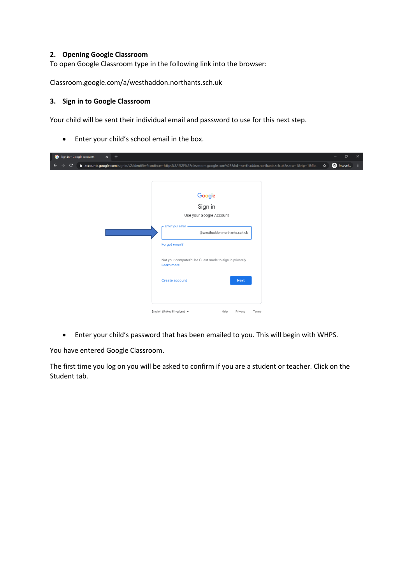## **2. Opening Google Classroom**

To open Google Classroom type in the following link into the browser:

Classroom.google.com/a/westhaddon.northants.sch.uk

#### **3. Sign in to Google Classroom**

Your child will be sent their individual email and password to use for this next step.

• Enter your child's school email in the box.

| Sign in - Google accounts<br>$+$<br>$\times$                                                                                                                                                                                                                                                               |   | σ                | $\times$ |
|------------------------------------------------------------------------------------------------------------------------------------------------------------------------------------------------------------------------------------------------------------------------------------------------------------|---|------------------|----------|
| $\mathbf{C}$<br>accounts.google.com/signin/v2/identifier?continue=https%3A%2F%2Fclassroom.google.com%2F&hd=westhaddon.northants.sch.uk&sacu=1&rip=1&flo                                                                                                                                                    | ☆ | <b>a</b> Incogni |          |
| Google<br>Sign in<br>Use your Google Account<br>Enter your email<br>@westhaddon.northants.sch.uk<br><b>Forgot email?</b><br>Not your computer? Use Guest mode to sign in privately.<br><b>Learn more</b><br><b>Create account</b><br><b>Next</b><br>English (United Kingdom) ~<br>Help<br>Privacy<br>Terms |   |                  |          |

• Enter your child's password that has been emailed to you. This will begin with WHPS.

You have entered Google Classroom.

The first time you log on you will be asked to confirm if you are a student or teacher. Click on the Student tab.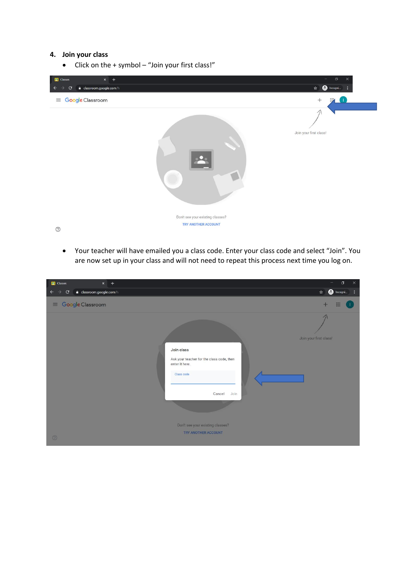## **4. Join your class**

• Click on the + symbol – "Join your first class!"



• Your teacher will have emailed you a class code. Enter your class code and select "Join". You are now set up in your class and will not need to repeat this process next time you log on.

| <b>Classes</b>                             | $x +$                     |                                                                                                                                                                      | $\times$<br>$\Box$                               |
|--------------------------------------------|---------------------------|----------------------------------------------------------------------------------------------------------------------------------------------------------------------|--------------------------------------------------|
| $\leftarrow$ $\rightarrow$<br>$\mathbf{C}$ | a classroom.google.com/h  |                                                                                                                                                                      | $\bigoplus$ Incogni<br>☆<br>$\ddot{\phantom{1}}$ |
|                                            | $\equiv$ Google Classroom |                                                                                                                                                                      | m<br>$+$                                         |
| $\circledcirc$                             |                           | Join class<br>Ask your teacher for the class code, then<br>enter it here.<br>Class code<br>Cancel<br>Join<br>Don't see your existing classes?<br>TRY ANOTHER ACCOUNT | Join your first class!                           |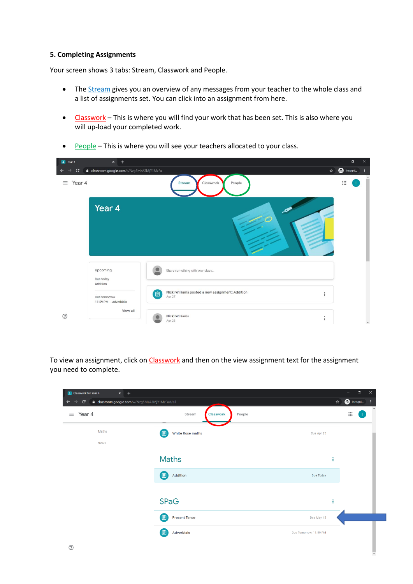#### **5. Completing Assignments**

Your screen shows 3 tabs: Stream, Classwork and People.

- The **Stream** gives you an overview of any messages from your teacher to the whole class and a list of assignments set. You can click into an assignment from here.
- Classwork This is where you will find your work that has been set. This is also where you will up-load your completed work.



• People – This is where you will see your teachers allocated to your class.

To view an assignment, click on Classwork and then on the view assignment text for the assignment you need to complete.

| <b>E</b> Classwork for Year 4<br>$x +$<br>$\mathbf{C}$<br>△ classroom.google.com/w/Nzg5MzA3MjY1MzFa/t/all<br>$\rightarrow$<br>$\leftarrow$ |                               | $\Box$<br>$\times$<br>$\hat{\mathbf{x}}$ <b>@</b> Incogni |
|--------------------------------------------------------------------------------------------------------------------------------------------|-------------------------------|-----------------------------------------------------------|
| $\equiv$ Year 4                                                                                                                            | Stream<br>Classwork<br>People | $\mathop{\cdots}\limits_{\cdots}$<br>T                    |
| Maths<br>SPaG                                                                                                                              | 值<br>White Rose maths         | Due Apr 25                                                |
|                                                                                                                                            | <b>Maths</b>                  | ÷                                                         |
|                                                                                                                                            | 固<br>Addition                 | Due Today                                                 |
|                                                                                                                                            | <b>SPaG</b>                   | ÷                                                         |
|                                                                                                                                            | 自<br><b>Present Tense</b>     | Due May 15                                                |
| $^{\circledR}$                                                                                                                             | 自<br>Adverbials               | Due Tomorrow, 11:59 PM                                    |